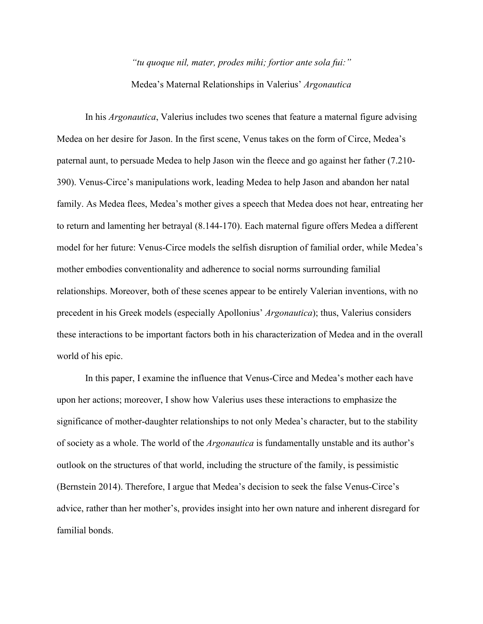## *"tu quoque nil, mater, prodes mihi; fortior ante sola fui:"* Medea's Maternal Relationships in Valerius' *Argonautica*

In his *Argonautica*, Valerius includes two scenes that feature a maternal figure advising Medea on her desire for Jason. In the first scene, Venus takes on the form of Circe, Medea's paternal aunt, to persuade Medea to help Jason win the fleece and go against her father (7.210- 390). Venus-Circe's manipulations work, leading Medea to help Jason and abandon her natal family. As Medea flees, Medea's mother gives a speech that Medea does not hear, entreating her to return and lamenting her betrayal (8.144-170). Each maternal figure offers Medea a different model for her future: Venus-Circe models the selfish disruption of familial order, while Medea's mother embodies conventionality and adherence to social norms surrounding familial relationships. Moreover, both of these scenes appear to be entirely Valerian inventions, with no precedent in his Greek models (especially Apollonius' *Argonautica*); thus, Valerius considers these interactions to be important factors both in his characterization of Medea and in the overall world of his epic.

In this paper, I examine the influence that Venus-Circe and Medea's mother each have upon her actions; moreover, I show how Valerius uses these interactions to emphasize the significance of mother-daughter relationships to not only Medea's character, but to the stability of society as a whole. The world of the *Argonautica* is fundamentally unstable and its author's outlook on the structures of that world, including the structure of the family, is pessimistic (Bernstein 2014). Therefore, I argue that Medea's decision to seek the false Venus-Circe's advice, rather than her mother's, provides insight into her own nature and inherent disregard for familial bonds.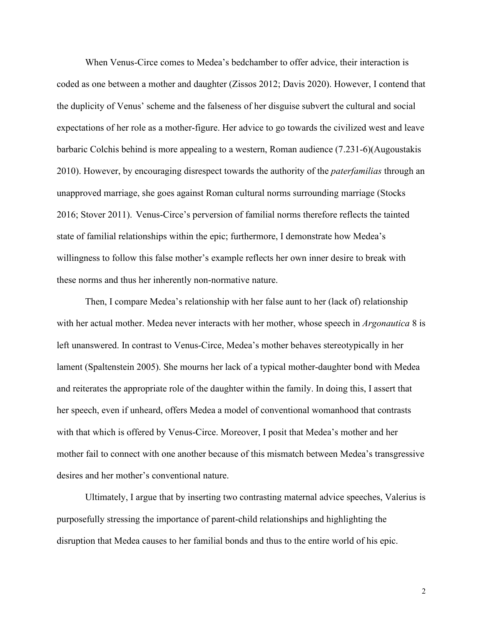When Venus-Circe comes to Medea's bedchamber to offer advice, their interaction is coded as one between a mother and daughter (Zissos 2012; Davis 2020). However, I contend that the duplicity of Venus' scheme and the falseness of her disguise subvert the cultural and social expectations of her role as a mother-figure. Her advice to go towards the civilized west and leave barbaric Colchis behind is more appealing to a western, Roman audience (7.231-6)(Augoustakis 2010). However, by encouraging disrespect towards the authority of the *paterfamilias* through an unapproved marriage, she goes against Roman cultural norms surrounding marriage (Stocks 2016; Stover 2011). Venus-Circe's perversion of familial norms therefore reflects the tainted state of familial relationships within the epic; furthermore, I demonstrate how Medea's willingness to follow this false mother's example reflects her own inner desire to break with these norms and thus her inherently non-normative nature.

Then, I compare Medea's relationship with her false aunt to her (lack of) relationship with her actual mother. Medea never interacts with her mother, whose speech in *Argonautica* 8 is left unanswered. In contrast to Venus-Circe, Medea's mother behaves stereotypically in her lament (Spaltenstein 2005). She mourns her lack of a typical mother-daughter bond with Medea and reiterates the appropriate role of the daughter within the family. In doing this, I assert that her speech, even if unheard, offers Medea a model of conventional womanhood that contrasts with that which is offered by Venus-Circe. Moreover, I posit that Medea's mother and her mother fail to connect with one another because of this mismatch between Medea's transgressive desires and her mother's conventional nature.

Ultimately, I argue that by inserting two contrasting maternal advice speeches, Valerius is purposefully stressing the importance of parent-child relationships and highlighting the disruption that Medea causes to her familial bonds and thus to the entire world of his epic.

2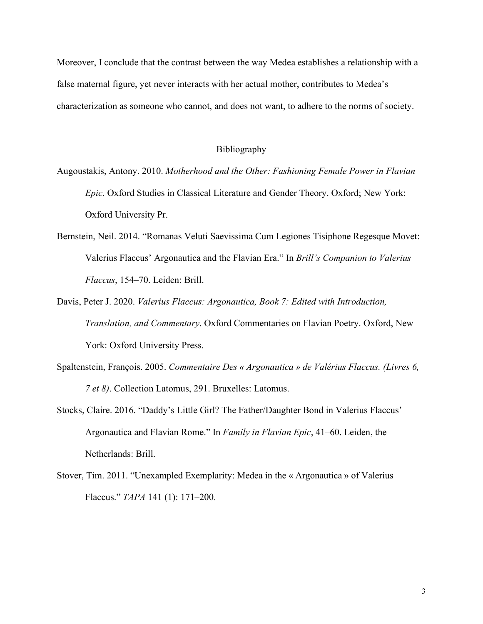Moreover, I conclude that the contrast between the way Medea establishes a relationship with a false maternal figure, yet never interacts with her actual mother, contributes to Medea's characterization as someone who cannot, and does not want, to adhere to the norms of society.

## Bibliography

- Augoustakis, Antony. 2010. *Motherhood and the Other: Fashioning Female Power in Flavian Epic*. Oxford Studies in Classical Literature and Gender Theory. Oxford; New York: Oxford University Pr.
- Bernstein, Neil. 2014. "Romanas Veluti Saevissima Cum Legiones Tisiphone Regesque Movet: Valerius Flaccus' Argonautica and the Flavian Era." In *Brill's Companion to Valerius Flaccus*, 154–70. Leiden: Brill.
- Davis, Peter J. 2020. *Valerius Flaccus: Argonautica, Book 7: Edited with Introduction, Translation, and Commentary*. Oxford Commentaries on Flavian Poetry. Oxford, New York: Oxford University Press.
- Spaltenstein, François. 2005. *Commentaire Des « Argonautica » de Valérius Flaccus. (Livres 6, 7 et 8)*. Collection Latomus, 291. Bruxelles: Latomus.
- Stocks, Claire. 2016. "Daddy's Little Girl? The Father/Daughter Bond in Valerius Flaccus' Argonautica and Flavian Rome." In *Family in Flavian Epic*, 41–60. Leiden, the Netherlands: Brill.
- Stover, Tim. 2011. "Unexampled Exemplarity: Medea in the « Argonautica » of Valerius Flaccus." *TAPA* 141 (1): 171–200.